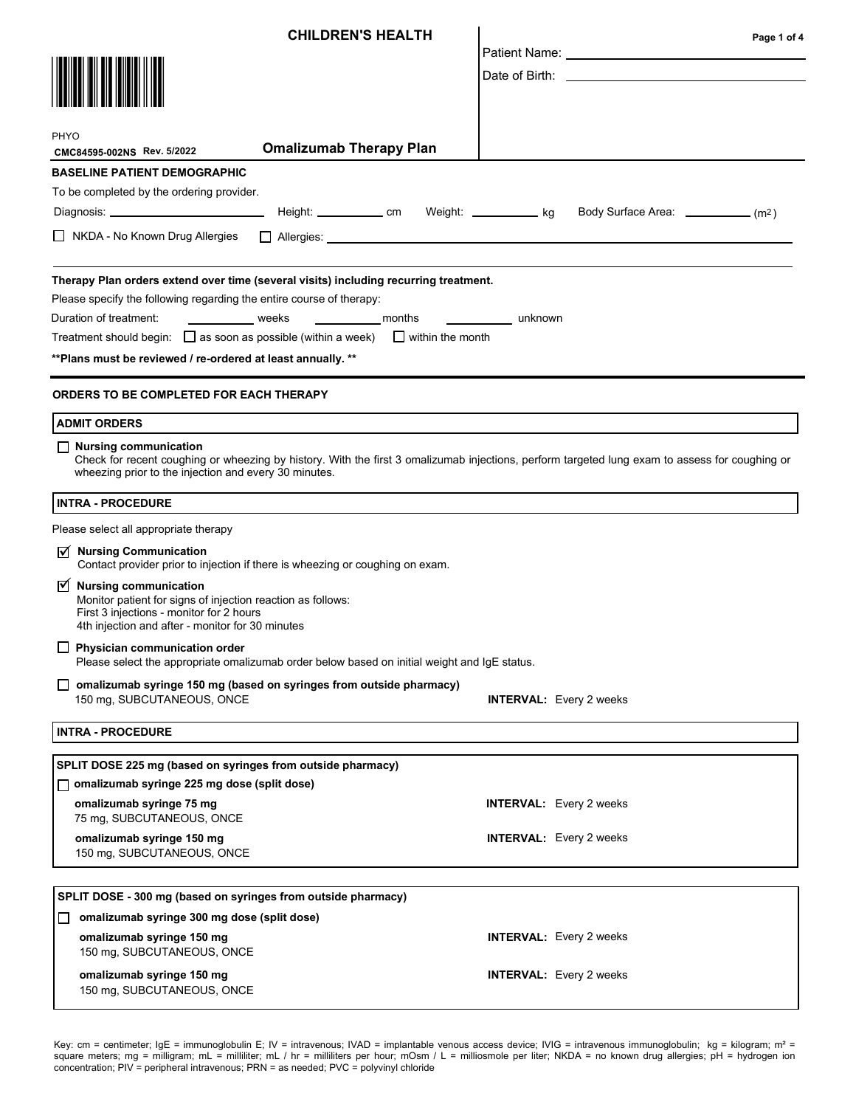| <b>CHILDREN'S HEALTH</b>                                                                                                                                                                                                         | Page 1 of 4                                                                                                                                                                                                                   |  |  |
|----------------------------------------------------------------------------------------------------------------------------------------------------------------------------------------------------------------------------------|-------------------------------------------------------------------------------------------------------------------------------------------------------------------------------------------------------------------------------|--|--|
|                                                                                                                                                                                                                                  | Patient Name: The Contract of the Contract of the Contract of the Contract of the Contract of the Contract of the Contract of the Contract of the Contract of the Contract of the Contract of the Contract of the Contract of |  |  |
|                                                                                                                                                                                                                                  |                                                                                                                                                                                                                               |  |  |
| PHYO                                                                                                                                                                                                                             |                                                                                                                                                                                                                               |  |  |
| <b>Omalizumab Therapy Plan</b><br>CMC84595-002NS Rev. 5/2022                                                                                                                                                                     |                                                                                                                                                                                                                               |  |  |
| <b>BASELINE PATIENT DEMOGRAPHIC</b>                                                                                                                                                                                              |                                                                                                                                                                                                                               |  |  |
| To be completed by the ordering provider.                                                                                                                                                                                        |                                                                                                                                                                                                                               |  |  |
|                                                                                                                                                                                                                                  | Body Surface Area: _____________ (m <sup>2</sup> )                                                                                                                                                                            |  |  |
| □ NKDA - No Known Drug Allergies<br>$\Box$ Allergies: $\Box$                                                                                                                                                                     |                                                                                                                                                                                                                               |  |  |
| Therapy Plan orders extend over time (several visits) including recurring treatment.                                                                                                                                             |                                                                                                                                                                                                                               |  |  |
| Please specify the following regarding the entire course of therapy:                                                                                                                                                             |                                                                                                                                                                                                                               |  |  |
| Duration of treatment:<br>_______________months<br>weeks<br>unknown                                                                                                                                                              |                                                                                                                                                                                                                               |  |  |
| Treatment should begin: $\Box$ as soon as possible (within a week) $\Box$ within the month                                                                                                                                       |                                                                                                                                                                                                                               |  |  |
| ** Plans must be reviewed / re-ordered at least annually. **                                                                                                                                                                     |                                                                                                                                                                                                                               |  |  |
| ORDERS TO BE COMPLETED FOR EACH THERAPY                                                                                                                                                                                          |                                                                                                                                                                                                                               |  |  |
| <b>ADMIT ORDERS</b>                                                                                                                                                                                                              |                                                                                                                                                                                                                               |  |  |
| Nursing communication<br>Check for recent coughing or wheezing by history. With the first 3 omalizumab injections, perform targeted lung exam to assess for coughing or<br>wheezing prior to the injection and every 30 minutes. |                                                                                                                                                                                                                               |  |  |
| <b>INTRA - PROCEDURE</b>                                                                                                                                                                                                         |                                                                                                                                                                                                                               |  |  |
| Please select all appropriate therapy                                                                                                                                                                                            |                                                                                                                                                                                                                               |  |  |
| $\triangledown$ Nursing Communication<br>Contact provider prior to injection if there is wheezing or coughing on exam.                                                                                                           |                                                                                                                                                                                                                               |  |  |
| $\triangledown$ Nursing communication<br>Monitor patient for signs of injection reaction as follows:<br>First 3 injections - monitor for 2 hours<br>4th injection and after - monitor for 30 minutes                             |                                                                                                                                                                                                                               |  |  |
| $\Box$ Physician communication order<br>Please select the appropriate omalizumab order below based on initial weight and IgE status.                                                                                             |                                                                                                                                                                                                                               |  |  |
| $\Box$ omalizumab syringe 150 mg (based on syringes from outside pharmacy)                                                                                                                                                       |                                                                                                                                                                                                                               |  |  |
| 150 mg, SUBCUTANEOUS, ONCE<br><b>INTERVAL:</b> Every 2 weeks                                                                                                                                                                     |                                                                                                                                                                                                                               |  |  |
| <b>INTRA - PROCEDURE</b>                                                                                                                                                                                                         |                                                                                                                                                                                                                               |  |  |
| SPLIT DOSE 225 mg (based on syringes from outside pharmacy)                                                                                                                                                                      |                                                                                                                                                                                                                               |  |  |
| □ omalizumab syringe 225 mg dose (split dose)                                                                                                                                                                                    |                                                                                                                                                                                                                               |  |  |
| omalizumab syringe 75 mg<br><b>INTERVAL:</b> Every 2 weeks<br>75 mg, SUBCUTANEOUS, ONCE                                                                                                                                          |                                                                                                                                                                                                                               |  |  |
| <b>INTERVAL:</b> Every 2 weeks<br>omalizumab syringe 150 mg<br>150 mg, SUBCUTANEOUS, ONCE                                                                                                                                        |                                                                                                                                                                                                                               |  |  |
| SPLIT DOSE - 300 mg (based on syringes from outside pharmacy)                                                                                                                                                                    |                                                                                                                                                                                                                               |  |  |
| omalizumab syringe 300 mg dose (split dose)<br>$\Box$                                                                                                                                                                            |                                                                                                                                                                                                                               |  |  |
| omalizumab syringe 150 mg<br><b>INTERVAL:</b> Every 2 weeks<br>150 mg, SUBCUTANEOUS, ONCE                                                                                                                                        |                                                                                                                                                                                                                               |  |  |
| omalizumab syringe 150 mg<br><b>INTERVAL:</b> Every 2 weeks<br>150 mg, SUBCUTANEOUS, ONCE                                                                                                                                        |                                                                                                                                                                                                                               |  |  |

Key: cm = centimeter; IgE = immunoglobulin E; IV = intravenous; IVAD = implantable venous access device; IVIG = intravenous immunoglobulin; kg = kilogram; m² = square meters; mg = milligram; mL = milliliter; mL / hr = milliliters per hour; mOsm / L = milliosmole per liter; NKDA = no known drug allergies; pH = hydrogen ion concentration; PIV = peripheral intravenous; PRN = as needed; PVC = polyvinyl chloride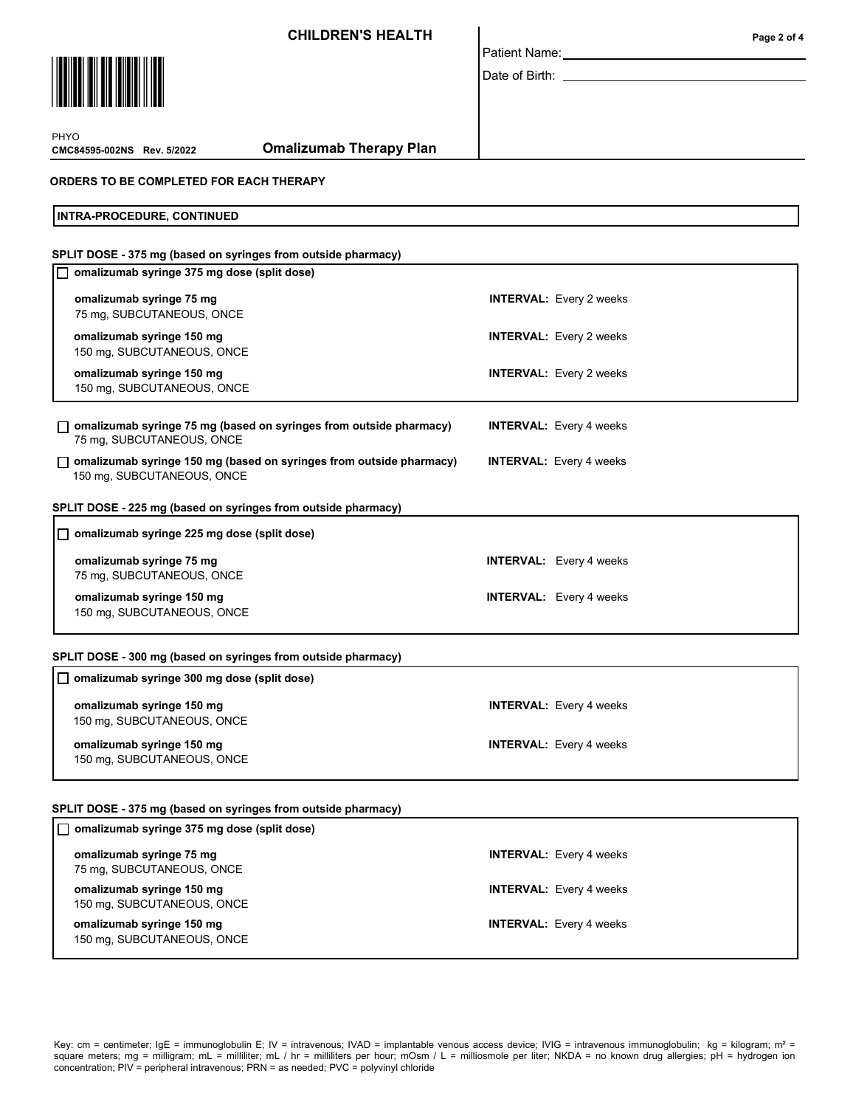CHILDREN'S HEALTH



| Patient Name: |
|---------------|

Date of Birth: \_

**CMC84595-002NS** Rev. 5/2022 PHYO

Omalizumab Therapy Plan

#### ORDERS TO BE COMPLETED FOR EACH THERAPY

INTRA-PROCEDURE, CONTINUED

| SPLIT DOSE - 375 mg (based on syringes from outside pharmacy)                                     |                                |  |
|---------------------------------------------------------------------------------------------------|--------------------------------|--|
| omalizumab syringe 375 mg dose (split dose)                                                       |                                |  |
| omalizumab syringe 75 mg<br>75 mg, SUBCUTANEOUS, ONCE                                             | <b>INTERVAL:</b> Every 2 weeks |  |
| omalizumab syringe 150 mg<br>150 mg, SUBCUTANEOUS, ONCE                                           | <b>INTERVAL:</b> Every 2 weeks |  |
| omalizumab syringe 150 mg<br>150 mg, SUBCUTANEOUS, ONCE                                           | <b>INTERVAL:</b> Every 2 weeks |  |
| omalizumab syringe 75 mg (based on syringes from outside pharmacy)<br>75 mg, SUBCUTANEOUS, ONCE   | <b>INTERVAL:</b> Every 4 weeks |  |
| omalizumab syringe 150 mg (based on syringes from outside pharmacy)<br>150 mg, SUBCUTANEOUS, ONCE | <b>INTERVAL:</b> Every 4 weeks |  |
| SPLIT DOSE - 225 mg (based on syringes from outside pharmacy)                                     |                                |  |
| omalizumab syringe 225 mg dose (split dose)<br>П                                                  |                                |  |
| omalizumab syringe 75 mg<br>75 mg, SUBCUTANEOUS, ONCE                                             | <b>INTERVAL:</b> Every 4 weeks |  |
| omalizumab syringe 150 mg<br>150 mg, SUBCUTANEOUS, ONCE                                           | <b>INTERVAL:</b> Every 4 weeks |  |
| SPLIT DOSE - 300 mg (based on syringes from outside pharmacy)                                     |                                |  |
| $\Box$ omalizumab syringe 300 mg dose (split dose)                                                |                                |  |

| omalizumab syringe 150 mg<br>150 mg, SUBCUTANEOUS, ONCE | <b>INTERVAL:</b> Every 4 weeks |
|---------------------------------------------------------|--------------------------------|
| omalizumab syringe 150 mg<br>150 mg, SUBCUTANEOUS, ONCE | <b>INTERVAL:</b> Every 4 weeks |

### SPLIT DOSE - 375 mg (based on syringes from outside pharmacy)

| □ omalizumab syringe 375 mg dose (split dose)           |                                |
|---------------------------------------------------------|--------------------------------|
| omalizumab syringe 75 mg<br>75 mg, SUBCUTANEOUS, ONCE   | <b>INTERVAL:</b> Every 4 weeks |
| omalizumab syringe 150 mg<br>150 mg, SUBCUTANEOUS, ONCE | <b>INTERVAL:</b> Every 4 weeks |
| omalizumab syringe 150 mg<br>150 mg, SUBCUTANEOUS, ONCE | <b>INTERVAL:</b> Every 4 weeks |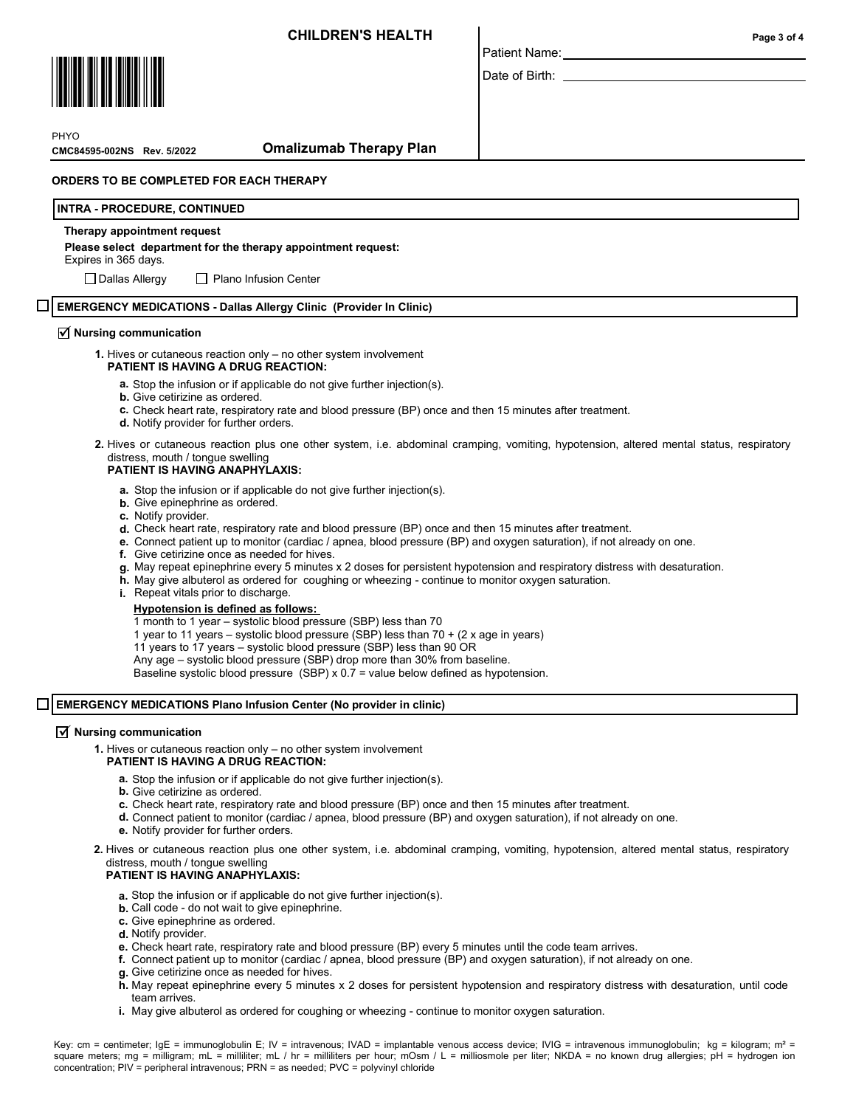

Date of Birth:

**PHYO** 

**CMC84595-002NS** Rev. 5/2022

### Omalizumab Therapy Plan

#### ORDERS TO BE COMPLETED FOR EACH THERAPY

#### INTRA - PROCEDURE, CONTINUED

#### Therapy appointment request

#### Please select department for the therapy appointment request:

Expires in 365 days.

 $\Box$  Dallas Allergy  $\Box$  Plano Infusion Center

#### EMERGENCY MEDICATIONS - Dallas Allergy Clinic (Provider In Clinic)

# $\overline{\mathbf{y}}$  Nursing communication

- 1. Hives or cutaneous reaction only no other system involvement
	- PATIENT IS HAVING A DRUG REACTION:
		- a. Stop the infusion or if applicable do not give further injection(s).
		- **b.** Give cetirizine as ordered.
		- c. Check heart rate, respiratory rate and blood pressure (BP) once and then 15 minutes after treatment.
		- d. Notify provider for further orders.
- 2. Hives or cutaneous reaction plus one other system, i.e. abdominal cramping, vomiting, hypotension, altered mental status, respiratory distress, mouth / tongue swelling

### PATIENT IS HAVING ANAPHYLAXIS:

- a. Stop the infusion or if applicable do not give further injection(s).
- **b.** Give epinephrine as ordered.
- c. Notify provider.
- d. Check heart rate, respiratory rate and blood pressure (BP) once and then 15 minutes after treatment.
- e. Connect patient up to monitor (cardiac / apnea, blood pressure (BP) and oxygen saturation), if not already on one.
- f. Give cetirizine once as needed for hives.
- **g**. May repeat epinephrine every 5 minutes x 2 doses for persistent hypotension and respiratory distress with desaturation.
- h. May give albuterol as ordered for coughing or wheezing continue to monitor oxygen saturation.
- i. Repeat vitals prior to discharge.

#### Hypotension is defined as follows:

- 1 month to 1 year systolic blood pressure (SBP) less than 70
- 1 year to 11 years systolic blood pressure (SBP) less than 70 + (2 x age in years)

11 years to 17 years – systolic blood pressure (SBP) less than 90 OR

Any age – systolic blood pressure (SBP) drop more than 30% from baseline.

Baseline systolic blood pressure (SBP) x 0.7 = value below defined as hypotension.

#### П EMERGENCY MEDICATIONS Plano Infusion Center (No provider in clinic)

# $\overline{\mathbf{y}}$  Nursing communication

1. Hives or cutaneous reaction only – no other system involvement

### PATIENT IS HAVING A DRUG REACTION:

- a. Stop the infusion or if applicable do not give further injection(s).
- **b.** Give cetirizine as ordered.
- c. Check heart rate, respiratory rate and blood pressure (BP) once and then 15 minutes after treatment.
- d. Connect patient to monitor (cardiac / apnea, blood pressure (BP) and oxygen saturation), if not already on one.
- e. Notify provider for further orders.
- 2. Hives or cutaneous reaction plus one other system, i.e. abdominal cramping, vomiting, hypotension, altered mental status, respiratory distress, mouth / tongue swelling

#### PATIENT IS HAVING ANAPHYLAXIS:

- a. Stop the infusion or if applicable do not give further injection(s).
- **b.** Call code do not wait to give epinephrine.
- c. Give epinephrine as ordered.
- d. Notify provider.
- e. Check heart rate, respiratory rate and blood pressure (BP) every 5 minutes until the code team arrives.
- f. Connect patient up to monitor (cardiac / apnea, blood pressure (BP) and oxygen saturation), if not already on one.
- g. Give cetirizine once as needed for hives.
- h. May repeat epinephrine every 5 minutes x 2 doses for persistent hypotension and respiratory distress with desaturation, until code team arrives.
- i. May give albuterol as ordered for coughing or wheezing continue to monitor oxygen saturation.